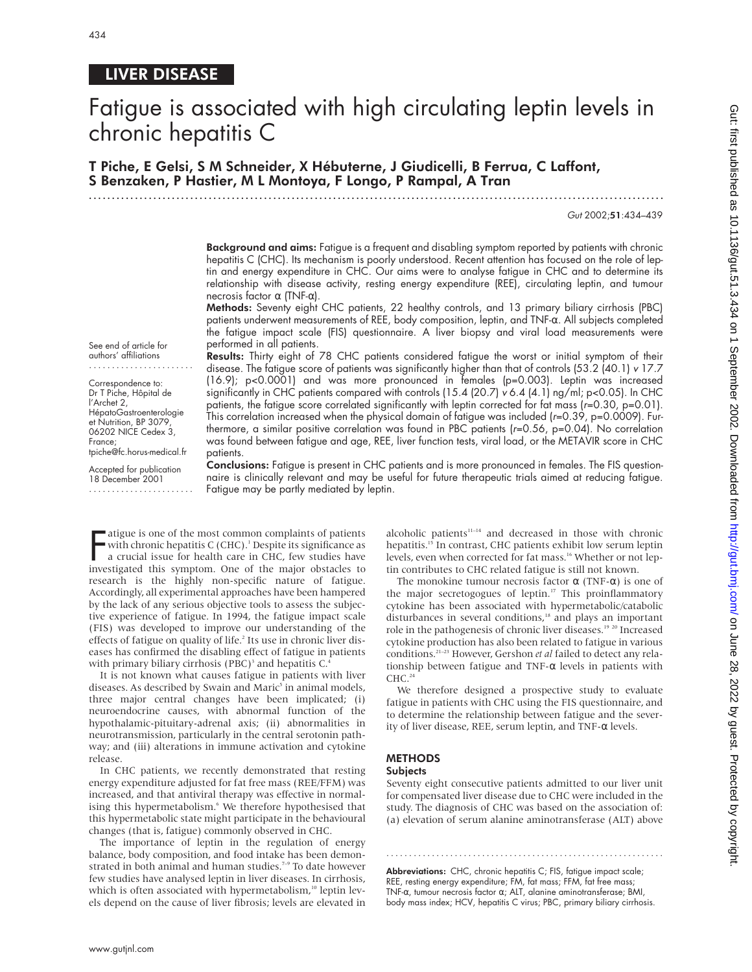# LIVER DISEASE

# Fatigue is associated with high circulating leptin levels in chronic hepatitis C

T Piche, E Gelsi, S M Schneider, X Hébuterne, J Giudicelli, B Ferrua, C Laffont, S Benzaken, P Hastier, M L Montoya, F Longo, P Rampal, A Tran

.............................................................................................................................

Gut 2002;51:434–439

Background and aims: Fatigue is a frequent and disabling symptom reported by patients with chronic hepatitis C (CHC). Its mechanism is poorly understood. Recent attention has focused on the role of leptin and energy expenditure in CHC. Our aims were to analyse fatigue in CHC and to determine its relationship with disease activity, resting energy expenditure (REE), circulating leptin, and tumour necrosis factor α (TNF-α).

Methods: Seventy eight CHC patients, 22 healthy controls, and 13 primary biliary cirrhosis (PBC) patients underwent measurements of REE, body composition, leptin, and TNF-α. All subjects completed the fatigue impact scale (FIS) questionnaire. A liver biopsy and viral load measurements were performed in all patients.

See end of article for authors' affiliations .......................

Correspondence to: Dr T Piche, Hôpital de l'Archet 2, HépatoGastroenterologie et Nutrition, BP 3079, 06202 NICE Cedex 3, France; tpiche@fc.horus-medical.fr

Accepted for publication 18 December 2001 .......................

Results: Thirty eight of 78 CHC patients considered fatigue the worst or initial symptom of their disease. The fatigue score of patients was significantly higher than that of controls (53.2 (40.1) <sup>v</sup> 17.7 (16.9); p<0.0001) and was more pronounced in females (p=0.003). Leptin was increased significantly in CHC patients compared with controls (15.4 (20.7) <sup>v</sup> 6.4 (4.1) ng/ml; p<0.05). In CHC patients, the fatigue score correlated significantly with leptin corrected for fat mass (r=0.30, p=0.01). This correlation increased when the physical domain of fatigue was included ( $r=0.39$ ,  $p=0.0009$ ). Furthermore, a similar positive correlation was found in PBC patients (r=0.56, p=0.04). No correlation was found between fatigue and age, REE, liver function tests, viral load, or the METAVIR score in CHC patients.

Conclusions: Fatigue is present in CHC patients and is more pronounced in females. The FIS questionnaire is clinically relevant and may be useful for future therapeutic trials aimed at reducing fatigue. Fatigue may be partly mediated by leptin.

Fratigue is one of the most common complaints of patients<br>with chronic hepatitis C (CHC).<sup>1</sup> Despite its significance as<br>a crucial issue for health care in CHC, few studies have<br>investigated this symptom. One of the major with chronic hepatitis C (CHC).<sup>1</sup> Despite its significance as a crucial issue for health care in CHC, few studies have investigated this symptom. One of the major obstacles to research is the highly non-specific nature of fatigue. Accordingly, all experimental approaches have been hampered by the lack of any serious objective tools to assess the subjective experience of fatigue. In 1994, the fatigue impact scale (FIS) was developed to improve our understanding of the effects of fatigue on quality of life.<sup>2</sup> Its use in chronic liver diseases has confirmed the disabling effect of fatigue in patients with primary biliary cirrhosis  $(PBC)^3$  and hepatitis C.

It is not known what causes fatigue in patients with liver diseases. As described by Swain and Maric<sup>5</sup> in animal models, three major central changes have been implicated; (i) neuroendocrine causes, with abnormal function of the hypothalamic-pituitary-adrenal axis; (ii) abnormalities in neurotransmission, particularly in the central serotonin pathway; and (iii) alterations in immune activation and cytokine release.

In CHC patients, we recently demonstrated that resting energy expenditure adjusted for fat free mass (REE/FFM) was increased, and that antiviral therapy was effective in normalising this hypermetabolism.<sup>6</sup> We therefore hypothesised that this hypermetabolic state might participate in the behavioural changes (that is, fatigue) commonly observed in CHC.

The importance of leptin in the regulation of energy balance, body composition, and food intake has been demonstrated in both animal and human studies. $\vec{r}$  To date however few studies have analysed leptin in liver diseases. In cirrhosis, which is often associated with hypermetabolism,<sup>10</sup> leptin levels depend on the cause of liver fibrosis; levels are elevated in

alcoholic patients<sup>11-14</sup> and decreased in those with chronic hepatitis.<sup>15</sup> In contrast, CHC patients exhibit low serum leptin levels, even when corrected for fat mass.<sup>16</sup> Whether or not leptin contributes to CHC related fatigue is still not known.

The monokine tumour necrosis factor  $\alpha$  (TNF- $\alpha$ ) is one of the major secretogogues of leptin.<sup>17</sup> This proinflammatory cytokine has been associated with hypermetabolic/catabolic disturbances in several conditions,<sup>18</sup> and plays an important role in the pathogenesis of chronic liver diseases.<sup>19 20</sup> Increased cytokine production has also been related to fatigue in various conditions.21–23 However, Gershon *et al* failed to detect any relationship between fatigue and TNF- $\alpha$  levels in patients with  $CHC.<sup>24</sup>$ 

We therefore designed a prospective study to evaluate fatigue in patients with CHC using the FIS questionnaire, and to determine the relationship between fatigue and the severity of liver disease, REE, serum leptin, and TNF-α levels.

# **METHODS**

# **Subjects**

Seventy eight consecutive patients admitted to our liver unit for compensated liver disease due to CHC were included in the study. The diagnosis of CHC was based on the association of: (a) elevation of serum alanine aminotransferase (ALT) above

Abbreviations: CHC, chronic hepatitis C; FIS, fatigue impact scale; REE, resting energy expenditure; FM, fat mass; FFM, fat free mass; TNF-α, tumour necrosis factor α; ALT, alanine aminotransferase; BMI, body mass index; HCV, hepatitis C virus; PBC, primary biliary cirrhosis.

.............................................................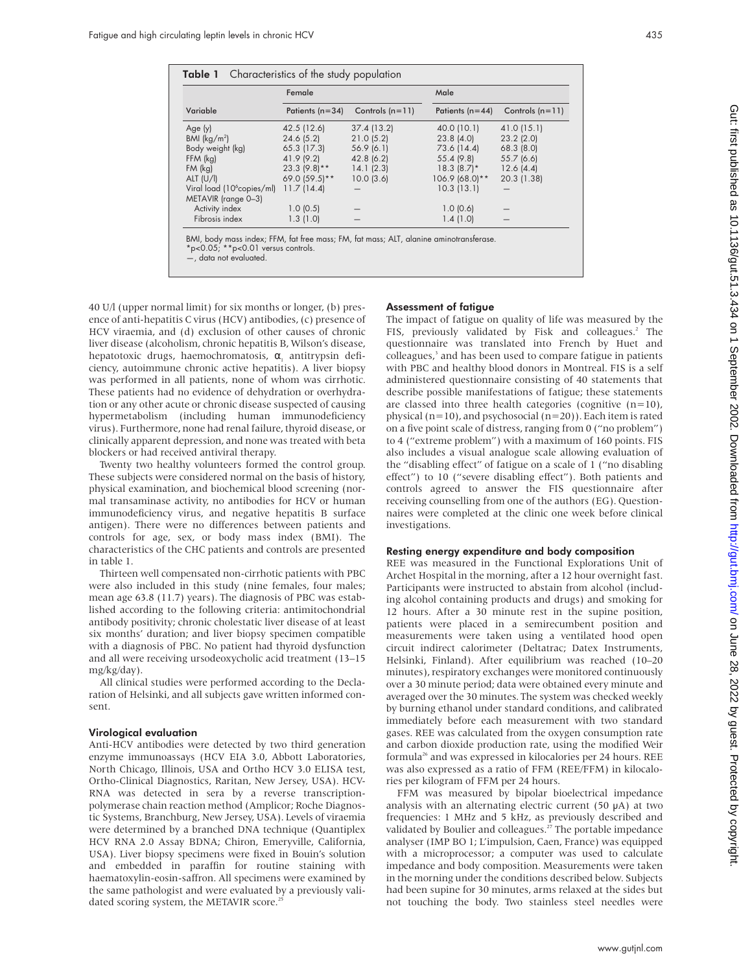|                                                               | Female            |                   | Male              |                   |
|---------------------------------------------------------------|-------------------|-------------------|-------------------|-------------------|
| Variable                                                      | Patients $(n=34)$ | Controls $(n=11)$ | Patients $(n=44)$ | Controls $(n=11)$ |
| Age (y)                                                       | 42.5 (12.6)       | 37.4 (13.2)       | 40.0 (10.1)       | 41.0 (15.1)       |
| BMI $(kg/m2)$                                                 | 24.6(5.2)         | 21.0(5.2)         | 23.8(4.0)         | $23.2$ $(2.0)$    |
| Body weight (kg)                                              | $65.3$ (17.3)     | 56.9(6.1)         | 73.6 (14.4)       | $68.3$ $(8.0)$    |
| $FFM$ ( $kg$ )                                                | 41.9 (9.2)        | 42.8(6.2)         | 55.4 (9.8)        | $55.7$ (6.6)      |
| $FM$ ( $kg$ )                                                 | $23.3(9.8)$ **    | 14.1(2.3)         | $18.3(8.7)$ *     | 12.6(4.4)         |
| ALT $(U/II)$                                                  | 69.0 (59.5)**     | 10.0(3.6)         | $106.9(68.0)**$   | 20.3 (1.38)       |
| Viral load (10 <sup>6</sup> copies/ml)<br>METAVIR (range 0-3) | 11.7(14.4)        |                   | 10.3(13.1)        |                   |
| Activity index                                                | 1.0(0.5)          |                   | 1.0(0.6)          |                   |
| Fibrosis index                                                | 1.3(1.0)          |                   | 1.4(1.0)          |                   |

\*p<0.05; \*\*p<0.01 versus controls. —, data not evaluated.

40 U/l (upper normal limit) for six months or longer, (b) presence of anti-hepatitis C virus (HCV) antibodies, (c) presence of HCV viraemia, and (d) exclusion of other causes of chronic liver disease (alcoholism, chronic hepatitis B, Wilson's disease, hepatotoxic drugs, haemochromatosis,  $\alpha_1$  antitrypsin deficiency, autoimmune chronic active hepatitis). A liver biopsy was performed in all patients, none of whom was cirrhotic. These patients had no evidence of dehydration or overhydration or any other acute or chronic disease suspected of causing hypermetabolism (including human immunodeficiency virus). Furthermore, none had renal failure, thyroid disease, or clinically apparent depression, and none was treated with beta blockers or had received antiviral therapy.

Twenty two healthy volunteers formed the control group. These subjects were considered normal on the basis of history, physical examination, and biochemical blood screening (normal transaminase activity, no antibodies for HCV or human immunodeficiency virus, and negative hepatitis B surface antigen). There were no differences between patients and controls for age, sex, or body mass index (BMI). The characteristics of the CHC patients and controls are presented in table 1.

Thirteen well compensated non-cirrhotic patients with PBC were also included in this study (nine females, four males; mean age 63.8 (11.7) years). The diagnosis of PBC was established according to the following criteria: antimitochondrial antibody positivity; chronic cholestatic liver disease of at least six months' duration; and liver biopsy specimen compatible with a diagnosis of PBC. No patient had thyroid dysfunction and all were receiving ursodeoxycholic acid treatment (13–15 mg/kg/day).

All clinical studies were performed according to the Declaration of Helsinki, and all subjects gave written informed consent.

#### Virological evaluation

Anti-HCV antibodies were detected by two third generation enzyme immunoassays (HCV EIA 3.0, Abbott Laboratories, North Chicago, Illinois, USA and Ortho HCV 3.0 ELISA test, Ortho-Clinical Diagnostics, Raritan, New Jersey, USA). HCV-RNA was detected in sera by a reverse transcriptionpolymerase chain reaction method (Amplicor; Roche Diagnostic Systems, Branchburg, New Jersey, USA). Levels of viraemia were determined by a branched DNA technique (Quantiplex HCV RNA 2.0 Assay BDNA; Chiron, Emeryville, California, USA). Liver biopsy specimens were fixed in Bouin's solution and embedded in paraffin for routine staining with haematoxylin-eosin-saffron. All specimens were examined by the same pathologist and were evaluated by a previously validated scoring system, the METAVIR score.<sup>25</sup>

#### Assessment of fatigue

The impact of fatigue on quality of life was measured by the FIS, previously validated by Fisk and colleagues.<sup>2</sup> The questionnaire was translated into French by Huet and colleagues,<sup>3</sup> and has been used to compare fatigue in patients with PBC and healthy blood donors in Montreal. FIS is a self administered questionnaire consisting of 40 statements that describe possible manifestations of fatigue; these statements are classed into three health categories (cognitive  $(n=10)$ , physical ( $n=10$ ), and psychosocial ( $n=20$ )). Each item is rated on a five point scale of distress, ranging from 0 ("no problem") to 4 ("extreme problem") with a maximum of 160 points. FIS also includes a visual analogue scale allowing evaluation of the "disabling effect" of fatigue on a scale of 1 ("no disabling effect") to 10 ("severe disabling effect"). Both patients and controls agreed to answer the FIS questionnaire after receiving counselling from one of the authors (EG). Questionnaires were completed at the clinic one week before clinical investigations.

# Resting energy expenditure and body composition

REE was measured in the Functional Explorations Unit of Archet Hospital in the morning, after a 12 hour overnight fast. Participants were instructed to abstain from alcohol (including alcohol containing products and drugs) and smoking for 12 hours. After a 30 minute rest in the supine position, patients were placed in a semirecumbent position and measurements were taken using a ventilated hood open circuit indirect calorimeter (Deltatrac; Datex Instruments, Helsinki, Finland). After equilibrium was reached (10–20 minutes), respiratory exchanges were monitored continuously over a 30 minute period; data were obtained every minute and averaged over the 30 minutes. The system was checked weekly by burning ethanol under standard conditions, and calibrated immediately before each measurement with two standard gases. REE was calculated from the oxygen consumption rate and carbon dioxide production rate, using the modified Weir formula<sup>26</sup> and was expressed in kilocalories per 24 hours. REE was also expressed as a ratio of FFM (REE/FFM) in kilocalories per kilogram of FFM per 24 hours.

FFM was measured by bipolar bioelectrical impedance analysis with an alternating electric current  $(50 \mu A)$  at two frequencies: 1 MHz and 5 kHz, as previously described and validated by Boulier and colleagues.<sup>27</sup> The portable impedance analyser (IMP BO 1; L'impulsion, Caen, France) was equipped with a microprocessor; a computer was used to calculate impedance and body composition. Measurements were taken in the morning under the conditions described below. Subjects had been supine for 30 minutes, arms relaxed at the sides but not touching the body. Two stainless steel needles were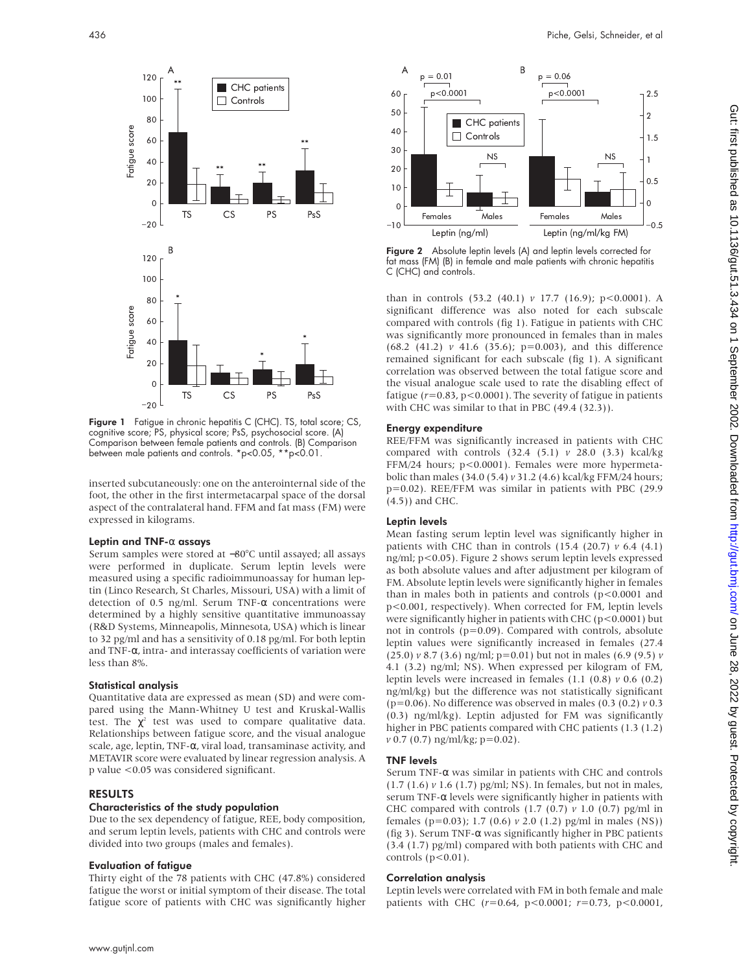

Figure 1 Fatigue in chronic hepatitis C (CHC). TS, total score; CS, cognitive score; PS, physical score; PsS, psychosocial score. (A) Comparison between female patients and controls. (B) Comparison between male patients and controls. \*p<0.05, \*\*p<0.01.

inserted subcutaneously: one on the anterointernal side of the foot, the other in the first intermetacarpal space of the dorsal aspect of the contralateral hand. FFM and fat mass (FM) were expressed in kilograms.

#### Leptin and TNF-α assays

Serum samples were stored at −80°C until assayed; all assays were performed in duplicate. Serum leptin levels were measured using a specific radioimmunoassay for human leptin (Linco Research, St Charles, Missouri, USA) with a limit of detection of 0.5 ng/ml. Serum TNF- $\alpha$  concentrations were determined by a highly sensitive quantitative immunoassay (R&D Systems, Minneapolis, Minnesota, USA) which is linear to 32 pg/ml and has a sensitivity of 0.18 pg/ml. For both leptin and TNF- $\alpha$ , intra- and interassay coefficients of variation were less than 8%.

# Statistical analysis

Quantitative data are expressed as mean (SD) and were compared using the Mann-Whitney U test and Kruskal-Wallis test. The  $\chi^2$  test was used to compare qualitative data. Relationships between fatigue score, and the visual analogue scale, age, leptin, TNF-α, viral load, transaminase activity, and METAVIR score were evaluated by linear regression analysis. A p value <0.05 was considered significant.

# RESULTS

#### Characteristics of the study population

Due to the sex dependency of fatigue, REE, body composition, and serum leptin levels, patients with CHC and controls were divided into two groups (males and females).

# Evaluation of fatigue

Thirty eight of the 78 patients with CHC (47.8%) considered fatigue the worst or initial symptom of their disease. The total fatigue score of patients with CHC was significantly higher



**Figure 2** Absolute leptin levels (A) and leptin levels corrected for fat mass (FM) (B) in female and male patients with chronic hepatitis C (CHC) and controls.

than in controls (53.2 (40.1) *v* 17.7 (16.9); p<0.0001). A significant difference was also noted for each subscale compared with controls (fig 1). Fatigue in patients with CHC was significantly more pronounced in females than in males (68.2 (41.2) *v* 41.6 (35.6); p=0.003), and this difference remained significant for each subscale (fig 1). A significant correlation was observed between the total fatigue score and the visual analogue scale used to rate the disabling effect of fatigue  $(r=0.83, p<0.0001)$ . The severity of fatigue in patients with CHC was similar to that in PBC (49.4 (32.3)).

## Energy expenditure

REE/FFM was significantly increased in patients with CHC compared with controls (32.4 (5.1) *v* 28.0 (3.3) kcal/kg FFM/24 hours; p<0.0001). Females were more hypermetabolic than males (34.0 (5.4) *v* 31.2 (4.6) kcal/kg FFM/24 hours; p=0.02). REE/FFM was similar in patients with PBC (29.9 (4.5)) and CHC.

# Leptin levels

Mean fasting serum leptin level was significantly higher in patients with CHC than in controls (15.4 (20.7) *v* 6.4 (4.1) ng/ml; p<0.05). Figure 2 shows serum leptin levels expressed as both absolute values and after adjustment per kilogram of FM. Absolute leptin levels were significantly higher in females than in males both in patients and controls  $(p<0.0001$  and p<0.001, respectively). When corrected for FM, leptin levels were significantly higher in patients with CHC ( $p < 0.0001$ ) but not in controls (p=0.09). Compared with controls, absolute leptin values were significantly increased in females (27.4 (25.0) *v* 8.7 (3.6) ng/ml; p=0.01) but not in males (6.9 (9.5) *v* 4.1 (3.2) ng/ml; NS). When expressed per kilogram of FM, leptin levels were increased in females (1.1 (0.8) *v* 0.6 (0.2) ng/ml/kg) but the difference was not statistically significant (p=0.06). No difference was observed in males (0.3 (0.2) *v* 0.3 (0.3) ng/ml/kg). Leptin adjusted for FM was significantly higher in PBC patients compared with CHC patients (1.3 (1.2) *v* 0.7 (0.7) ng/ml/kg; p=0.02).

# TNF levels

Serum TNF-α was similar in patients with CHC and controls (1.7 (1.6) *v* 1.6 (1.7) pg/ml; NS). In females, but not in males, serum TNF-α levels were significantly higher in patients with CHC compared with controls (1.7 (0.7) *v* 1.0 (0.7) pg/ml in females (p=0.03); 1.7 (0.6) *v* 2.0 (1.2) pg/ml in males (NS)) (fig 3). Serum TNF- $\alpha$  was significantly higher in PBC patients (3.4 (1.7) pg/ml) compared with both patients with CHC and controls  $(p<0.01)$ .

# Correlation analysis

Leptin levels were correlated with FM in both female and male patients with CHC (*r*=0.64, p<0.0001; *r*=0.73, p<0.0001,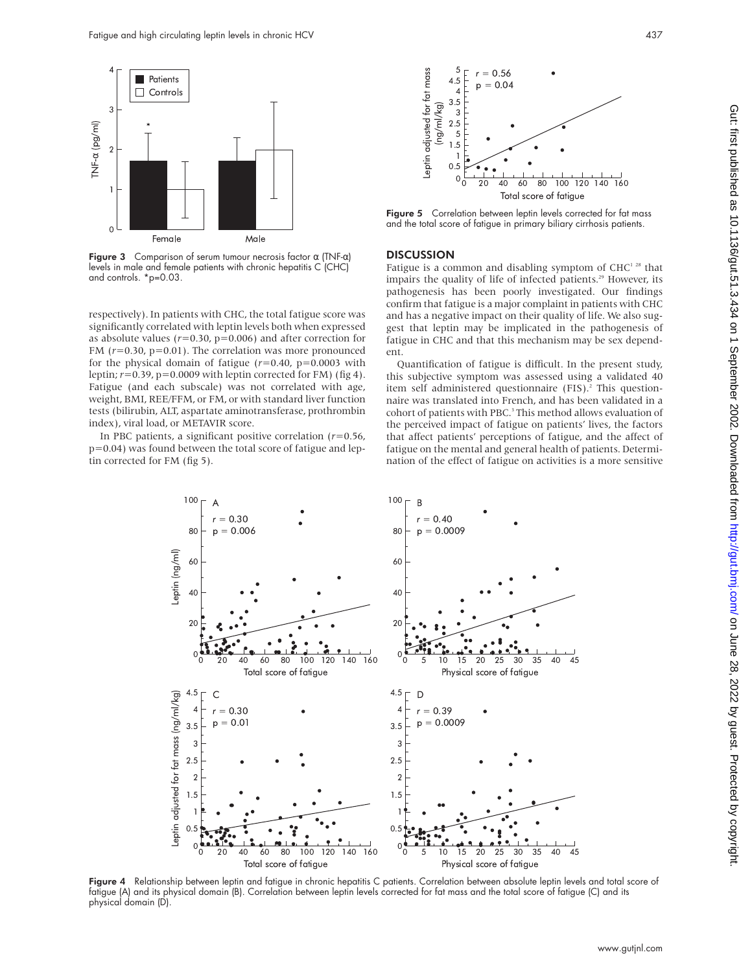

Figure 3 Comparison of serum tumour necrosis factor  $\alpha$  (TNF- $\alpha$ ) levels in male and female patients with chronic hepatitis C (CHC) and controls. \*p=0.03.

respectively). In patients with CHC, the total fatigue score was significantly correlated with leptin levels both when expressed as absolute values  $(r=0.30, p=0.006)$  and after correction for FM (*r*=0.30, p=0.01). The correlation was more pronounced for the physical domain of fatigue  $(r=0.40, p=0.0003$  with leptin;  $r=0.39$ ,  $p=0.0009$  with leptin corrected for FM) (fig 4). Fatigue (and each subscale) was not correlated with age, weight, BMI, REE/FFM, or FM, or with standard liver function tests (bilirubin, ALT, aspartate aminotransferase, prothrombin index), viral load, or METAVIR score.

In PBC patients, a significant positive correlation (*r*=0.56, p=0.04) was found between the total score of fatigue and leptin corrected for FM (fig 5).



Figure 5 Correlation between leptin levels corrected for fat mass and the total score of fatigue in primary biliary cirrhosis patients.

### **DISCUSSION**

Fatigue is a common and disabling symptom of  $CHC<sup>128</sup>$  that impairs the quality of life of infected patients.<sup>29</sup> However, its pathogenesis has been poorly investigated. Our findings confirm that fatigue is a major complaint in patients with CHC and has a negative impact on their quality of life. We also suggest that leptin may be implicated in the pathogenesis of fatigue in CHC and that this mechanism may be sex dependent.

Quantification of fatigue is difficult. In the present study, this subjective symptom was assessed using a validated 40 item self administered questionnaire (FIS).<sup>2</sup> This questionnaire was translated into French, and has been validated in a cohort of patients with PBC.<sup>3</sup> This method allows evaluation of the perceived impact of fatigue on patients' lives, the factors that affect patients' perceptions of fatigue, and the affect of fatigue on the mental and general health of patients. Determination of the effect of fatigue on activities is a more sensitive



Figure 4 Relationship between leptin and fatique in chronic hepatitis C patients. Correlation between absolute leptin levels and total score of fatigue (A) and its physical domain (B). Correlation between leptin levels corrected for fat mass and the total score of fatigue (C) and its physical domain (D).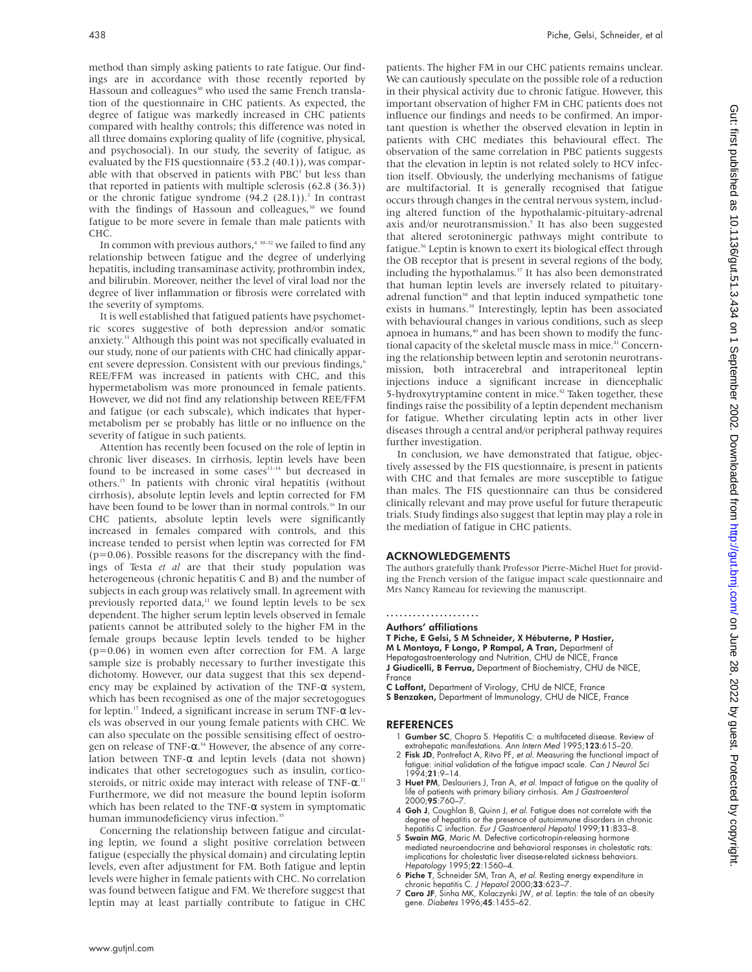method than simply asking patients to rate fatigue. Our findings are in accordance with those recently reported by Hassoun and colleagues<sup>30</sup> who used the same French translation of the questionnaire in CHC patients. As expected, the degree of fatigue was markedly increased in CHC patients compared with healthy controls; this difference was noted in all three domains exploring quality of life (cognitive, physical, and psychosocial). In our study, the severity of fatigue, as evaluated by the FIS questionnaire (53.2 (40.1)), was comparable with that observed in patients with  $PBC<sup>3</sup>$  but less than that reported in patients with multiple sclerosis (62.8 (36.3)) or the chronic fatigue syndrome  $(94.2 \ (28.1))$ .<sup>2</sup> In contrast with the findings of Hassoun and colleagues,<sup>30</sup> we found fatigue to be more severe in female than male patients with CHC.

In common with previous authors, $4 \times 30-32$  we failed to find any relationship between fatigue and the degree of underlying hepatitis, including transaminase activity, prothrombin index, and bilirubin. Moreover, neither the level of viral load nor the degree of liver inflammation or fibrosis were correlated with the severity of symptoms.

It is well established that fatigued patients have psychometric scores suggestive of both depression and/or somatic anxiety.33 Although this point was not specifically evaluated in our study, none of our patients with CHC had clinically apparent severe depression. Consistent with our previous findings,<sup>6</sup> REE/FFM was increased in patients with CHC, and this hypermetabolism was more pronounced in female patients. However, we did not find any relationship between REE/FFM and fatigue (or each subscale), which indicates that hypermetabolism per se probably has little or no influence on the severity of fatigue in such patients.

Attention has recently been focused on the role of leptin in chronic liver diseases. In cirrhosis, leptin levels have been found to be increased in some cases<sup>11-14</sup> but decreased in others.15 In patients with chronic viral hepatitis (without cirrhosis), absolute leptin levels and leptin corrected for FM have been found to be lower than in normal controls.<sup>16</sup> In our CHC patients, absolute leptin levels were significantly increased in females compared with controls, and this increase tended to persist when leptin was corrected for FM  $(p=0.06)$ . Possible reasons for the discrepancy with the findings of Testa *et al* are that their study population was heterogeneous (chronic hepatitis C and B) and the number of subjects in each group was relatively small. In agreement with previously reported data,<sup>11</sup> we found leptin levels to be sex dependent. The higher serum leptin levels observed in female patients cannot be attributed solely to the higher FM in the female groups because leptin levels tended to be higher (p=0.06) in women even after correction for FM. A large sample size is probably necessary to further investigate this dichotomy. However, our data suggest that this sex dependency may be explained by activation of the TNF- $\alpha$  system, which has been recognised as one of the major secretogogues for leptin.17 Indeed, a significant increase in serum TNF-α levels was observed in our young female patients with CHC. We can also speculate on the possible sensitising effect of oestrogen on release of TNF-α. <sup>34</sup> However, the absence of any correlation between TNF- $\alpha$  and leptin levels (data not shown) indicates that other secretogogues such as insulin, corticosteroids, or nitric oxide may interact with release of TNF- $\alpha$ .<sup>11</sup> Furthermore, we did not measure the bound leptin isoform which has been related to the TNF- $\alpha$  system in symptomatic human immunodeficiency virus infection.<sup>35</sup>

Concerning the relationship between fatigue and circulating leptin, we found a slight positive correlation between fatigue (especially the physical domain) and circulating leptin levels, even after adjustment for FM. Both fatigue and leptin levels were higher in female patients with CHC. No correlation was found between fatigue and FM. We therefore suggest that leptin may at least partially contribute to fatigue in CHC

patients. The higher FM in our CHC patients remains unclear. We can cautiously speculate on the possible role of a reduction in their physical activity due to chronic fatigue. However, this important observation of higher FM in CHC patients does not influence our findings and needs to be confirmed. An important question is whether the observed elevation in leptin in patients with CHC mediates this behavioural effect. The observation of the same correlation in PBC patients suggests that the elevation in leptin is not related solely to HCV infection itself. Obviously, the underlying mechanisms of fatigue are multifactorial. It is generally recognised that fatigue occurs through changes in the central nervous system, including altered function of the hypothalamic-pituitary-adrenal axis and/or neurotransmission.<sup>5</sup> It has also been suggested that altered serotoninergic pathways might contribute to fatigue.<sup>36</sup> Leptin is known to exert its biological effect through the OB receptor that is present in several regions of the body, including the hypothalamus.<sup>37</sup> It has also been demonstrated that human leptin levels are inversely related to pituitaryadrenal function<sup>38</sup> and that leptin induced sympathetic tone exists in humans.<sup>39</sup> Interestingly, leptin has been associated with behavioural changes in various conditions, such as sleep apnoea in humans,<sup>40</sup> and has been shown to modify the functional capacity of the skeletal muscle mass in mice.<sup>41</sup> Concerning the relationship between leptin and serotonin neurotransmission, both intracerebral and intraperitoneal leptin injections induce a significant increase in diencephalic 5-hydroxytryptamine content in mice.<sup>42</sup> Taken together, these findings raise the possibility of a leptin dependent mechanism for fatigue. Whether circulating leptin acts in other liver diseases through a central and/or peripheral pathway requires further investigation.

In conclusion, we have demonstrated that fatigue, objectively assessed by the FIS questionnaire, is present in patients with CHC and that females are more susceptible to fatigue than males. The FIS questionnaire can thus be considered clinically relevant and may prove useful for future therapeutic trials. Study findings also suggest that leptin may play a role in the mediation of fatigue in CHC patients.

# ACKNOWLEDGEMENTS

The authors gratefully thank Professor Pierre-Michel Huet for providing the French version of the fatigue impact scale questionnaire and Mrs Nancy Rameau for reviewing the manuscript.

## .....................

# Authors' affiliations

T Piche, E Gelsi, S M Schneider, X Hébuterne, P Hastier, M L Montoya, F Longo, P Rampal, A Tran, Department of Hepatogastroenterology and Nutrition, CHU de NICE, France J Giudicelli, B Ferrua, Department of Biochemistry, CHU de NICE, France

- C Laffont, Department of Virology, CHU de NICE, France S Benzaken, Department of Immunology, CHU de NICE, France
- 

# REFERENCES

- 1 Gumber SC, Chopra S. Hepatitis C: a multifaceted disease. Review of
- extrahepatic manifestations. A*nn Intern Med* 1995;**123**:615–20.<br>2 **Fisk JD**, Pontrefact A, Ritvo PF, *et al. M*easuring the functional impact of fatigue: initial validation of the fatigue impact scale. Can J Neurol Sci 1994;21:9–14.
- 3 Huet PM, Deslauriers J, Tran A, et al. Impact of fatigue on the quality of life of patients with primary biliary cirrhosis. *Am J Gastroenterol*<br>2000;**95**:760–7.
- 4 Goh J, Coughlan B, Quinn J, et al. Fatigue does not correlate with the degree of hepatitis or the presence of autoimmune disorders in chronic hepatitis C infection. Eur J Gastroenterol Hepatol 1999;11:833–8.
- 5 Swain MG, Maric M. Defective corticotropin-releasing hormone mediated neuroendocrine and behavioral responses in cholestatic rats: implications for cholestatic liver disease-related sickness behaviors. Hepatology 1995;22:1560–4.
- 6 Piche T, Schneider SM, Tran A, *et al.* Resting energy expenditure in chronic hepatitis C. *J Hepatol* 2000;33:623–7.
- 7 Caro JF, Sinha MK, Kolaczynki JW, et al. Leptin: the tale of an obesity gene. Diabetes 1996;45:1455–62.